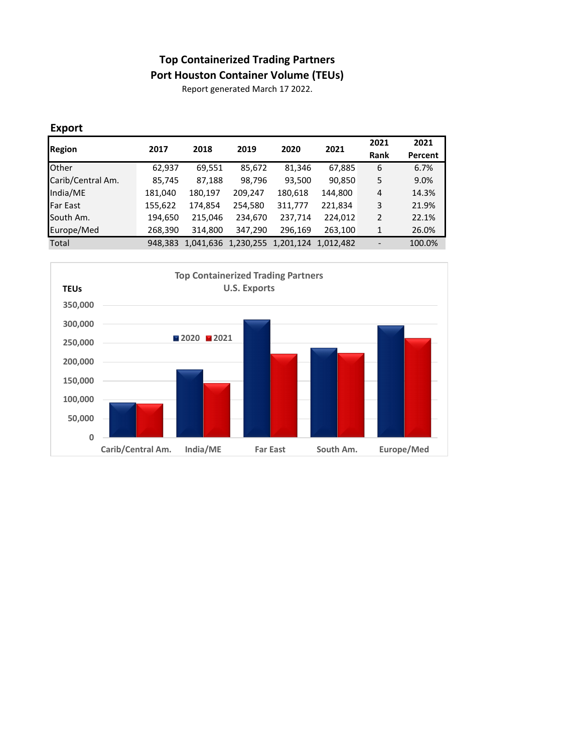## **Top Containerized Trading Partners**

**Port Houston Container Volume (TEUs)**

Report generated March 17 2022.

## **Export**

| Region            | 2017    | 2018      | 2019                | 2020    | 2021      | 2021 | 2021    |
|-------------------|---------|-----------|---------------------|---------|-----------|------|---------|
|                   |         |           |                     |         |           | Rank | Percent |
| <b>Other</b>      | 62,937  | 69,551    | 85,672              | 81,346  | 67,885    | 6    | 6.7%    |
| Carib/Central Am. | 85,745  | 87,188    | 98,796              | 93,500  | 90,850    | 5    | 9.0%    |
| India/ME          | 181,040 | 180,197   | 209,247             | 180,618 | 144,800   | 4    | 14.3%   |
| <b>Far East</b>   | 155,622 | 174,854   | 254,580             | 311,777 | 221,834   | 3    | 21.9%   |
| South Am.         | 194,650 | 215,046   | 234,670             | 237,714 | 224,012   | 2    | 22.1%   |
| Europe/Med        | 268,390 | 314,800   | 347,290             | 296,169 | 263,100   | 1    | 26.0%   |
| Total             | 948.383 | 1,041,636 | 1,230,255 1,201,124 |         | 1.012.482 |      | 100.0%  |